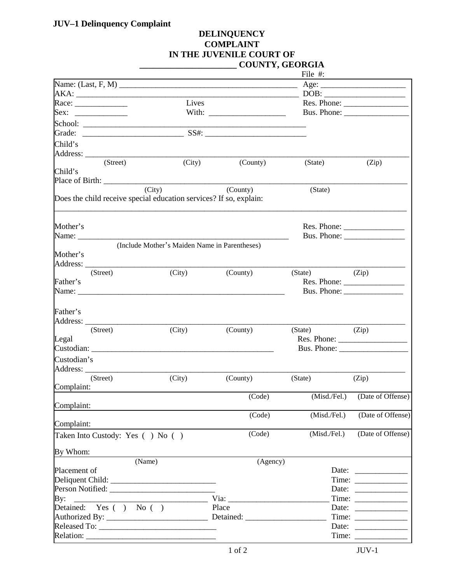## **JUV–1 Delinquency Complaint**

## **DELINQUENCY COMPLAINT IN THE JUVENILE COURT OF \_\_\_\_\_\_\_\_\_\_\_\_\_\_\_\_\_\_\_\_\_\_ COUNTY, GEORGIA**

|                  |                                  |                                                                    |                    | File $#$ :        |                                                          |
|------------------|----------------------------------|--------------------------------------------------------------------|--------------------|-------------------|----------------------------------------------------------|
|                  |                                  |                                                                    |                    |                   |                                                          |
|                  |                                  |                                                                    | $AKA:$ DOB: $DOB:$ |                   |                                                          |
|                  |                                  | Lives                                                              |                    |                   | Res. Phone:                                              |
|                  |                                  |                                                                    |                    |                   |                                                          |
|                  |                                  |                                                                    |                    |                   |                                                          |
|                  |                                  |                                                                    |                    |                   |                                                          |
| Child's          |                                  |                                                                    |                    |                   |                                                          |
|                  |                                  |                                                                    |                    |                   |                                                          |
|                  | (Street)                         | (City)                                                             | (County)           | (State)           | (Zip)                                                    |
| Child's          |                                  |                                                                    |                    |                   |                                                          |
|                  |                                  |                                                                    |                    |                   |                                                          |
|                  |                                  | $\overline{(City)}$                                                | (County)           | (State)           |                                                          |
|                  |                                  | Does the child receive special education services? If so, explain: |                    |                   |                                                          |
|                  |                                  |                                                                    |                    |                   |                                                          |
|                  |                                  |                                                                    |                    |                   |                                                          |
| Mother's         |                                  |                                                                    |                    |                   |                                                          |
|                  |                                  | Name: $\frac{1}{2}$                                                |                    |                   |                                                          |
|                  |                                  | (Include Mother's Maiden Name in Parentheses)                      |                    |                   |                                                          |
| Mother's         |                                  |                                                                    |                    |                   |                                                          |
|                  | Address:                         |                                                                    |                    |                   |                                                          |
|                  | (Street)                         | (City)                                                             | (County)           | $(State)$ $(Zip)$ |                                                          |
| Father's         |                                  |                                                                    |                    |                   | Res. Phone:                                              |
|                  |                                  | Name: Name:                                                        |                    | Bus. Phone:       |                                                          |
| Father's         |                                  |                                                                    |                    |                   |                                                          |
| Address:         |                                  |                                                                    |                    |                   |                                                          |
|                  | (Street)                         | (City)                                                             | (County)           | $(State)$ $(Zip)$ |                                                          |
| Legal            |                                  |                                                                    |                    |                   |                                                          |
|                  |                                  |                                                                    |                    |                   |                                                          |
| Custodian's      |                                  |                                                                    |                    |                   |                                                          |
|                  |                                  |                                                                    |                    |                   |                                                          |
|                  | (Street)                         | (City)                                                             | (County)           | (State)           | (Zip)                                                    |
| Complaint:       |                                  |                                                                    |                    |                   |                                                          |
|                  |                                  |                                                                    | (Code)             |                   | (Misd./Fel.) (Date of Offense)                           |
| Complaint:       |                                  |                                                                    |                    |                   |                                                          |
| Complaint:       |                                  |                                                                    | (Code)             | (Misd./Fel.)      | (Date of Offense)                                        |
|                  | Taken Into Custody: Yes () No () |                                                                    | (Code)             | (Misd./Fel.)      | (Date of Offense)                                        |
|                  |                                  |                                                                    |                    |                   |                                                          |
| By Whom:         |                                  |                                                                    |                    |                   |                                                          |
|                  |                                  | (Name)                                                             | (Agency)           |                   |                                                          |
| Placement of     |                                  |                                                                    |                    |                   | Date: $\frac{1}{\sqrt{1-\frac{1}{2}} \cdot \frac{1}{2}}$ |
| Deliquent Child: |                                  |                                                                    |                    |                   |                                                          |
|                  |                                  |                                                                    |                    |                   | Date:                                                    |
| By:              |                                  |                                                                    |                    |                   | Time: $\frac{1}{\sqrt{1-\frac{1}{2}}\cdot\frac{1}{2}}$   |
|                  | Detained: Yes () No ()           |                                                                    | Place              |                   | Date:                                                    |
|                  |                                  |                                                                    |                    |                   | Time:                                                    |
|                  |                                  |                                                                    |                    |                   |                                                          |
|                  |                                  |                                                                    |                    |                   |                                                          |